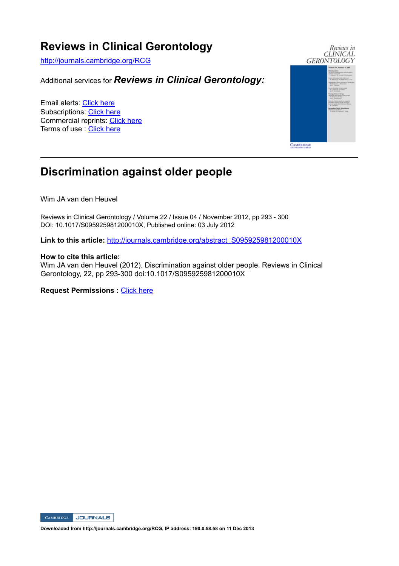# **Reviews in Clinical Gerontology**

http://journals.cambridge.org/RCG

Additional services for *Reviews in Clinical Gerontology:*

Email alerts: Click here Subscriptions: Click here Commercial reprints: Click here Terms of use : Click here



# **Discrimination against older people**

Wim JA van den Heuvel

Reviews in Clinical Gerontology / Volume 22 / Issue 04 / November 2012, pp 293 - 300 DOI: 10.1017/S095925981200010X, Published online: 03 July 2012

Link to this article: http://journals.cambridge.org/abstract\_S095925981200010X

### **How to cite this article:**

Wim JA van den Heuvel (2012). Discrimination against older people. Reviews in Clinical Gerontology, 22, pp 293-300 doi:10.1017/S095925981200010X

**Request Permissions :** Click here



**Downloaded from http://journals.cambridge.org/RCG, IP address: 190.0.58.58 on 11 Dec 2013**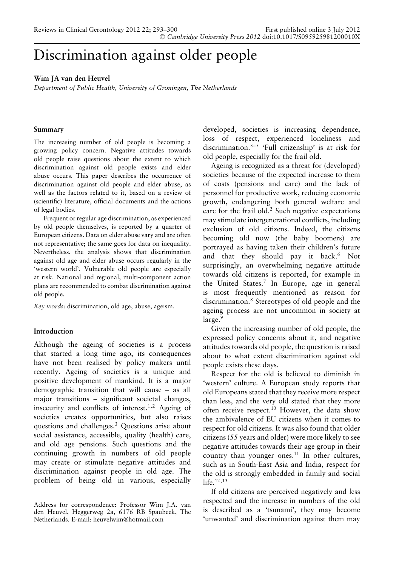# Discrimination against older people

# **Wim JA van den Heuvel**

*Department of Public Health, University of Groningen, The Netherlands*

# **Summary**

The increasing number of old people is becoming a growing policy concern. Negative attitudes towards old people raise questions about the extent to which discrimination against old people exists and elder abuse occurs. This paper describes the occurrence of discrimination against old people and elder abuse, as well as the factors related to it, based on a review of (scientific) literature, official documents and the actions of legal bodies.

Frequent or regular age discrimination, as experienced by old people themselves, is reported by a quarter of European citizens. Data on elder abuse vary and are often not representative; the same goes for data on inequality. Nevertheless, the analysis shows that discrimination against old age and elder abuse occurs regularly in the 'western world'. Vulnerable old people are especially at risk. National and regional, multi-component action plans are recommended to combat discrimination against old people.

*Key words:* discrimination, old age, abuse, ageism.

# **Introduction**

Although the ageing of societies is a process that started a long time ago, its consequences have not been realised by policy makers until recently. Ageing of societies is a unique and positive development of mankind. It is a major demographic transition that will cause – as all major transitions – significant societal changes, insecurity and conflicts of interest.<sup>1,2</sup> Ageing of societies creates opportunities, but also raises questions and challenges.3 Questions arise about social assistance, accessible, quality (health) care, and old age pensions. Such questions and the continuing growth in numbers of old people may create or stimulate negative attitudes and discrimination against people in old age. The problem of being old in various, especially developed, societies is increasing dependence, loss of respect, experienced loneliness and discrimination. $3-5$  'Full citizenship' is at risk for old people, especially for the frail old.

Ageing is recognized as a threat for (developed) societies because of the expected increase to them of costs (pensions and care) and the lack of personnel for productive work, reducing economic growth, endangering both general welfare and care for the frail old.<sup>2</sup> Such negative expectations may stimulate intergenerational conflicts, including exclusion of old citizens. Indeed, the citizens becoming old now (the baby boomers) are portrayed as having taken their children's future and that they should pay it back.<sup>6</sup> Not surprisingly, an overwhelming negative attitude towards old citizens is reported, for example in the United States.7 In Europe, age in general is most frequently mentioned as reason for discrimination.8 Stereotypes of old people and the ageing process are not uncommon in society at large.<sup>9</sup>

Given the increasing number of old people, the expressed policy concerns about it, and negative attitudes towards old people, the question is raised about to what extent discrimination against old people exists these days.

Respect for the old is believed to diminish in 'western' culture. A European study reports that old Europeans stated that they receive more respect than less, and the very old stated that they more often receive respect.<sup>10</sup> However, the data show the ambivalence of EU citizens when it comes to respect for old citizens. It was also found that older citizens (55 years and older) were more likely to see negative attitudes towards their age group in their country than younger ones.11 In other cultures, such as in South-East Asia and India, respect for the old is strongly embedded in family and social  $l$ ife.<sup>12,13</sup>

If old citizens are perceived negatively and less respected and the increase in numbers of the old is described as a 'tsunami', they may become 'unwanted' and discrimination against them may

Address for correspondence: Professor Wim J.A. van den Heuvel, Heggerweg 2a, 6176 RB Spaubeek, The Netherlands. E-mail: heuvelwim@hotmail.com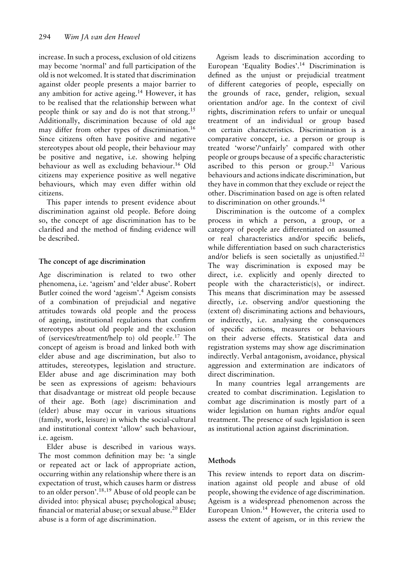increase. In such a process, exclusion of old citizens may become 'normal' and full participation of the old is not welcomed. It is stated that discrimination against older people presents a major barrier to any ambition for active ageing.<sup>14</sup> However, it has to be realised that the relationship between what people think or say and do is not that strong.<sup>15</sup> Additionally, discrimination because of old age may differ from other types of discrimination.16 Since citizens often have positive and negative stereotypes about old people, their behaviour may be positive and negative, i.e. showing helping behaviour as well as excluding behaviour.<sup>16</sup> Old citizens may experience positive as well negative behaviours, which may even differ within old citizens.

This paper intends to present evidence about discrimination against old people. Before doing so, the concept of age discrimination has to be clarified and the method of finding evidence will be described.

# **The concept of age discrimination**

Age discrimination is related to two other phenomena, i.e. 'ageism' and 'elder abuse'. Robert Butler coined the word 'ageism'.<sup>4</sup> Ageism consists of a combination of prejudicial and negative attitudes towards old people and the process of ageing, institutional regulations that confirm stereotypes about old people and the exclusion of (services/treatment/help to) old people.<sup>17</sup> The concept of ageism is broad and linked both with elder abuse and age discrimination, but also to attitudes, stereotypes, legislation and structure. Elder abuse and age discrimination may both be seen as expressions of ageism: behaviours that disadvantage or mistreat old people because of their age. Both (age) discrimination and (elder) abuse may occur in various situations (family, work, leisure) in which the social-cultural and institutional context 'allow' such behaviour, i.e. ageism.

Elder abuse is described in various ways. The most common definition may be: 'a single or repeated act or lack of appropriate action, occurring within any relationship where there is an expectation of trust, which causes harm or distress to an older person'.18,19 Abuse of old people can be divided into: physical abuse; psychological abuse; financial or material abuse; or sexual abuse.<sup>20</sup> Elder abuse is a form of age discrimination.

Ageism leads to discrimination according to European 'Equality Bodies'.14 Discrimination is defined as the unjust or prejudicial treatment of different categories of people, especially on the grounds of race, gender, religion, sexual orientation and/or age. In the context of civil rights, discrimination refers to unfair or unequal treatment of an individual or group based on certain characteristics. Discrimination is a comparative concept, i.e. a person or group is treated 'worse'/'unfairly' compared with other people or groups because of a specific characteristic ascribed to this person or group.<sup>21</sup> Various behaviours and actions indicate discrimination, but they have in common that they exclude or reject the other. Discrimination based on age is often related to discrimination on other grounds.<sup>14</sup>

Discrimination is the outcome of a complex process in which a person, a group, or a category of people are differentiated on assumed or real characteristics and/or specific beliefs, while differentiation based on such characteristics and/or beliefs is seen societally as unjustified.<sup>22</sup> The way discrimination is exposed may be direct, i.e. explicitly and openly directed to people with the characteristic(s), or indirect. This means that discrimination may be assessed directly, i.e. observing and/or questioning the (extent of) discriminating actions and behaviours, or indirectly, i.e. analysing the consequences of specific actions, measures or behaviours on their adverse effects. Statistical data and registration systems may show age discrimination indirectly. Verbal antagonism, avoidance, physical aggression and extermination are indicators of direct discrimination.

In many countries legal arrangements are created to combat discrimination. Legislation to combat age discrimination is mostly part of a wider legislation on human rights and/or equal treatment. The presence of such legislation is seen as institutional action against discrimination.

# **Methods**

This review intends to report data on discrimination against old people and abuse of old people, showing the evidence of age discrimination. Ageism is a widespread phenomenon across the European Union.<sup>14</sup> However, the criteria used to assess the extent of ageism, or in this review the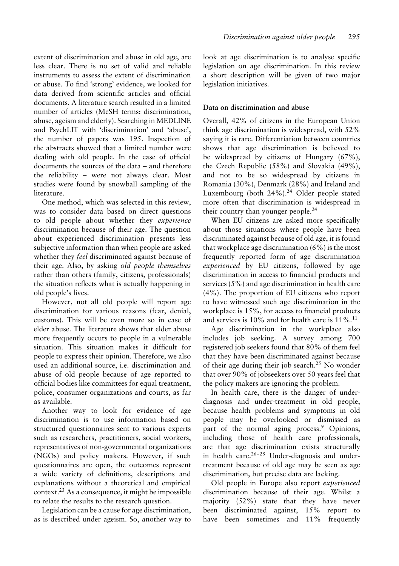extent of discrimination and abuse in old age, are less clear. There is no set of valid and reliable instruments to assess the extent of discrimination or abuse. To find 'strong' evidence, we looked for data derived from scientific articles and official documents. A literature search resulted in a limited number of articles (MeSH terms: discrimination, abuse, ageism and elderly). Searching in MEDLINE and PsychLIT with 'discrimination' and 'abuse', the number of papers was 195. Inspection of the abstracts showed that a limited number were dealing with old people. In the case of official documents the sources of the data – and therefore the reliability – were not always clear. Most studies were found by snowball sampling of the literature.

One method, which was selected in this review, was to consider data based on direct questions to old people about whether they *experience* discrimination because of their age. The question about experienced discrimination presents less subjective information than when people are asked whether they *feel* discriminated against because of their age. Also, by asking *old people themselves* rather than others (family, citizens, professionals) the situation reflects what is actually happening in old people's lives.

However, not all old people will report age discrimination for various reasons (fear, denial, customs). This will be even more so in case of elder abuse. The literature shows that elder abuse more frequently occurs to people in a vulnerable situation. This situation makes it difficult for people to express their opinion. Therefore, we also used an additional source, i.e. discrimination and abuse of old people because of age reported to official bodies like committees for equal treatment, police, consumer organizations and courts, as far as available.

Another way to look for evidence of age discrimination is to use information based on structured questionnaires sent to various experts such as researchers, practitioners, social workers, representatives of non-governmental organizations (NGOs) and policy makers. However, if such questionnaires are open, the outcomes represent a wide variety of definitions, descriptions and explanations without a theoretical and empirical  $context.^{23}$  As a consequence, it might be impossible to relate the results to the research question.

Legislation can be a cause for age discrimination, as is described under ageism. So, another way to look at age discrimination is to analyse specific legislation on age discrimination. In this review a short description will be given of two major legislation initiatives.

# **Data on discrimination and abuse**

Overall, 42% of citizens in the European Union think age discrimination is widespread, with 52% saying it is rare. Differentiation between countries shows that age discrimination is believed to be widespread by citizens of Hungary (67%), the Czech Republic (58%) and Slovakia (49%), and not to be so widespread by citizens in Romania (30%), Denmark (28%) and Ireland and Luxembourg (both 24%).<sup>24</sup> Older people stated more often that discrimination is widespread in their country than younger people.<sup>24</sup>

When EU citizens are asked more specifically about those situations where people have been discriminated against because of old age, it is found that workplace age discrimination (6%) is the most frequently reported form of age discrimination *experienced* by EU citizens, followed by age discrimination in access to financial products and services (5%) and age discrimination in health care (4%). The proportion of EU citizens who report to have witnessed such age discrimination in the workplace is 15%, for access to financial products and services is  $10\%$  and for health care is  $11\%$ .<sup>11</sup>

Age discrimination in the workplace also includes job seeking. A survey among 700 registered job seekers found that 80% of them feel that they have been discriminated against because of their age during their job search.<sup>25</sup> No wonder that over 90% of jobseekers over 50 years feel that the policy makers are ignoring the problem.

In health care, there is the danger of underdiagnosis and under-treatment in old people, because health problems and symptoms in old people may be overlooked or dismissed as part of the normal aging process.<sup>9</sup> Opinions, including those of health care professionals, are that age discrimination exists structurally in health care. $26-28$  Under-diagnosis and undertreatment because of old age may be seen as age discrimination, but precise data are lacking.

Old people in Europe also report *experienced* discrimination because of their age. Whilst a majority (52%) state that they have never been discriminated against, 15% report to have been sometimes and 11% frequently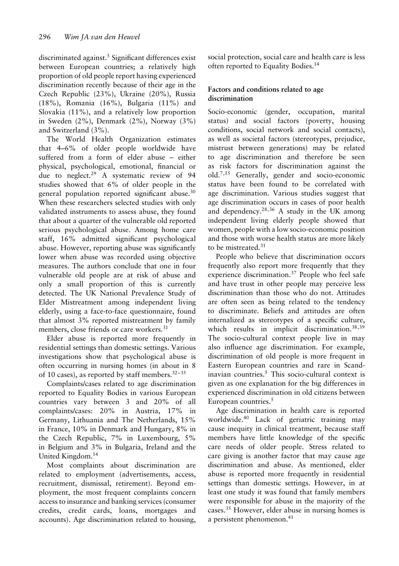discriminated against.<sup>5</sup> Significant differences exist between European countries; a relatively high proportion of old people report having experienced discrimination recently because of their age in the Czech Republic (23%), Ukraine (20%), Russia (18%), Romania (16%), Bulgaria (11%) and Slovakia (11%), and a relatively low proportion in Sweden (2%), Denmark (2%), Norway (3%) and Switzerland (3%).

The World Health Organization estimates that 4–6% of older people worldwide have suffered from a form of elder abuse – either physical, psychological, emotional, financial or due to neglect.<sup>29</sup> A systematic review of 94 studies showed that 6% of older people in the general population reported significant abuse.<sup>30</sup> When these researchers selected studies with only validated instruments to assess abuse, they found that about a quarter of the vulnerable old reported serious psychological abuse. Among home care staff, 16% admitted significant psychological abuse. However, reporting abuse was significantly lower when abuse was recorded using objective measures. The authors conclude that one in four vulnerable old people are at risk of abuse and only a small proportion of this is currently detected. The UK National Prevalence Study of Elder Mistreatment among independent living elderly, using a face-to-face questionnaire, found that almost 3% reported mistreatment by family members, close friends or care workers.<sup>31</sup>

Elder abuse is reported more frequently in residential settings than domestic settings. Various investigations show that psychological abuse is often occurring in nursing homes (in about in 8 of 10 cases), as reported by staff members. $32-35$ 

Complaints/cases related to age discrimination reported to Equality Bodies in various European countries vary between 3 and 20% of all complaints/cases: 20% in Austria, 17% in Germany, Lithuania and The Netherlands, 15% in France, 10% in Denmark and Hungary, 8% in the Czech Republic, 7% in Luxembourg, 5% in Belgium and 3% in Bulgaria, Ireland and the United Kingdom.14

Most complaints about discrimination are related to employment (advertisements, access, recruitment, dismissal, retirement). Beyond employment, the most frequent complaints concern access to insurance and banking services (consumer credits, credit cards, loans, mortgages and accounts). Age discrimination related to housing, social protection, social care and health care is less often reported to Equality Bodies.14

# **Factors and conditions related to age discrimination**

Socio-economic (gender, occupation, marital status) and social factors (poverty, housing conditions, social network and social contacts), as well as societal factors (stereotypes, prejudice, mistrust between generations) may be related to age discrimination and therefore be seen as risk factors for discrimination against the old.7,15 Generally, gender and socio-economic status have been found to be correlated with age discrimination. Various studies suggest that age discrimination occurs in cases of poor health and dependency.<sup>28,36</sup> A study in the UK among independent living elderly people showed that women, people with a low socio-economic position and those with worse health status are more likely to be mistreated.<sup>31</sup>

People who believe that discrimination occurs frequently also report more frequently that they experience discrimination.<sup>37</sup> People who feel safe and have trust in other people may perceive less discrimination than those who do not. Attitudes are often seen as being related to the tendency to discriminate. Beliefs and attitudes are often internalized as stereotypes of a specific culture, which results in implicit discrimination.<sup>38,39</sup> The socio-cultural context people live in may also influence age discrimination. For example, discrimination of old people is more frequent in Eastern European countries and rare in Scandinavian countries.<sup>5</sup> This socio-cultural context is given as one explanation for the big differences in experienced discrimination in old citizens between European countries. $5$ 

Age discrimination in health care is reported worldwide.<sup>40</sup> Lack of geriatric training may cause inequity in clinical treatment, because staff members have little knowledge of the specific care needs of older people. Stress related to care giving is another factor that may cause age discrimination and abuse. As mentioned, elder abuse is reported more frequently in residential settings than domestic settings. However, in at least one study it was found that family members were responsible for abuse in the majority of the cases.35 However, elder abuse in nursing homes is a persistent phenomenon.<sup>41</sup>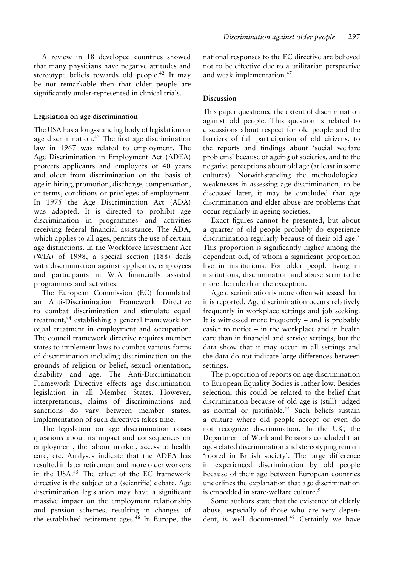A review in 18 developed countries showed that many physicians have negative attitudes and stereotype beliefs towards old people.<sup>42</sup> It may be not remarkable then that older people are significantly under-represented in clinical trials.

#### **Legislation on age discrimination**

The USA has a long-standing body of legislation on age discrimination.<sup>43</sup> The first age discrimination law in 1967 was related to employment. The Age Discrimination in Employment Act (ADEA) protects applicants and employees of 40 years and older from discrimination on the basis of age in hiring, promotion, discharge, compensation, or terms, conditions or privileges of employment. In 1975 the Age Discrimination Act (ADA) was adopted. It is directed to prohibit age discrimination in programmes and activities receiving federal financial assistance. The ADA, which applies to all ages, permits the use of certain age distinctions. In the Workforce Investment Act (WIA) of 1998, a special section (188) deals with discrimination against applicants, employees and participants in WIA financially assisted programmes and activities.

The European Commission (EC) formulated an Anti-Discrimination Framework Directive to combat discrimination and stimulate equal treatment,44 establishing a general framework for equal treatment in employment and occupation. The council framework directive requires member states to implement laws to combat various forms of discrimination including discrimination on the grounds of religion or belief, sexual orientation, disability and age. The Anti-Discrimination Framework Directive effects age discrimination legislation in all Member States. However, interpretations, claims of discriminations and sanctions do vary between member states. Implementation of such directives takes time.

The legislation on age discrimination raises questions about its impact and consequences on employment, the labour market, access to health care, etc. Analyses indicate that the ADEA has resulted in later retirement and more older workers in the USA.45 The effect of the EC framework directive is the subject of a (scientific) debate. Age discrimination legislation may have a significant massive impact on the employment relationship and pension schemes, resulting in changes of the established retirement ages.46 In Europe, the national responses to the EC directive are believed not to be effective due to a utilitarian perspective and weak implementation.47

#### **Discussion**

This paper questioned the extent of discrimination against old people. This question is related to discussions about respect for old people and the barriers of full participation of old citizens, to the reports and findings about 'social welfare problems' because of ageing of societies, and to the negative perceptions about old age (at least in some cultures). Notwithstanding the methodological weaknesses in assessing age discrimination, to be discussed later, it may be concluded that age discrimination and elder abuse are problems that occur regularly in ageing societies.

Exact figures cannot be presented, but about a quarter of old people probably do experience discrimination regularly because of their old age.<sup>5</sup> This proportion is significantly higher among the dependent old, of whom a significant proportion live in institutions. For older people living in institutions, discrimination and abuse seem to be more the rule than the exception.

Age discrimination is more often witnessed than it is reported. Age discrimination occurs relatively frequently in workplace settings and job seeking. It is witnessed more frequently – and is probably easier to notice – in the workplace and in health care than in financial and service settings, but the data show that it may occur in all settings and the data do not indicate large differences between settings.

The proportion of reports on age discrimination to European Equality Bodies is rather low. Besides selection, this could be related to the belief that discrimination because of old age is (still) judged as normal or justifiable.<sup>14</sup> Such beliefs sustain a culture where old people accept or even do not recognize discrimination. In the UK, the Department of Work and Pensions concluded that age-related discrimination and stereotyping remain 'rooted in British society'. The large difference in experienced discrimination by old people because of their age between European countries underlines the explanation that age discrimination is embedded in state-welfare culture. $5$ 

Some authors state that the existence of elderly abuse, especially of those who are very dependent, is well documented.<sup>48</sup> Certainly we have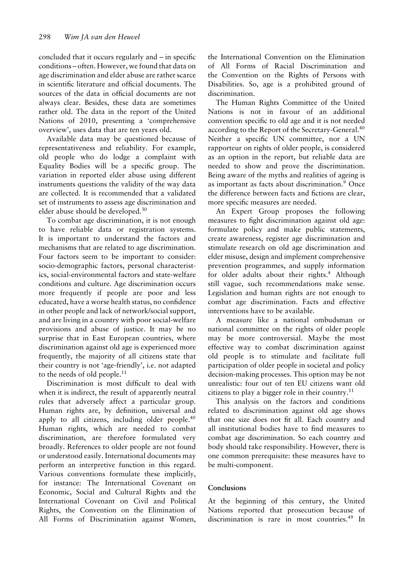concluded that it occurs regularly and – in specific conditions – often. However, we found that data on age discrimination and elder abuse are rather scarce in scientific literature and official documents. The sources of the data in official documents are not always clear. Besides, these data are sometimes rather old. The data in the report of the United Nations of 2010, presenting a 'comprehensive overview', uses data that are ten years old.

Available data may be questioned because of representativeness and reliability. For example, old people who do lodge a complaint with Equality Bodies will be a specific group. The variation in reported elder abuse using different instruments questions the validity of the way data are collected. It is recommended that a validated set of instruments to assess age discrimination and elder abuse should be developed.30

To combat age discrimination, it is not enough to have reliable data or registration systems. It is important to understand the factors and mechanisms that are related to age discrimination. Four factors seem to be important to consider: socio-demographic factors, personal characteristics, social-environmental factors and state-welfare conditions and culture. Age discrimination occurs more frequently if people are poor and less educated, have a worse health status, no confidence in other people and lack of network/social support, and are living in a country with poor social-welfare provisions and abuse of justice. It may be no surprise that in East European countries, where discrimination against old age is experienced more frequently, the majority of all citizens state that their country is not 'age-friendly', i.e. not adapted to the needs of old people.<sup>11</sup>

Discrimination is most difficult to deal with when it is indirect, the result of apparently neutral rules that adversely affect a particular group. Human rights are, by definition, universal and apply to all citizens, including older people.<sup>40</sup> Human rights, which are needed to combat discrimination, are therefore formulated very broadly. References to older people are not found or understood easily. International documents may perform an interpretive function in this regard. Various conventions formulate these implicitly, for instance: The International Covenant on Economic, Social and Cultural Rights and the International Covenant on Civil and Political Rights, the Convention on the Elimination of All Forms of Discrimination against Women, the International Convention on the Elimination of All Forms of Racial Discrimination and the Convention on the Rights of Persons with Disabilities. So, age is a prohibited ground of discrimination.

The Human Rights Committee of the United Nations is not in favour of an additional convention specific to old age and it is not needed according to the Report of the Secretary-General.<sup>40</sup> Neither a specific UN committee, nor a UN rapporteur on rights of older people, is considered as an option in the report, but reliable data are needed to show and prove the discrimination. Being aware of the myths and realities of ageing is as important as facts about discrimination.<sup>9</sup> Once the difference between facts and fictions are clear, more specific measures are needed.

An Expert Group proposes the following measures to fight discrimination against old age: formulate policy and make public statements, create awareness, register age discrimination and stimulate research on old age discrimination and elder misuse, design and implement comprehensive prevention programmes, and supply information for older adults about their rights.<sup>4</sup> Although still vague, such recommendations make sense. Legislation and human rights are not enough to combat age discrimination. Facts and effective interventions have to be available.

A measure like a national ombudsman or national committee on the rights of older people may be more controversial. Maybe the most effective way to combat discrimination against old people is to stimulate and facilitate full participation of older people in societal and policy decision-making processes. This option may be not unrealistic: four out of ten EU citizens want old citizens to play a bigger role in their country.<sup>11</sup>

This analysis on the factors and conditions related to discrimination against old age shows that one size does not fit all. Each country and all institutional bodies have to find measures to combat age discrimination. So each country and body should take responsibility. However, there is one common prerequisite: these measures have to be multi-component.

# **Conclusions**

At the beginning of this century, the United Nations reported that prosecution because of discrimination is rare in most countries.<sup>49</sup> In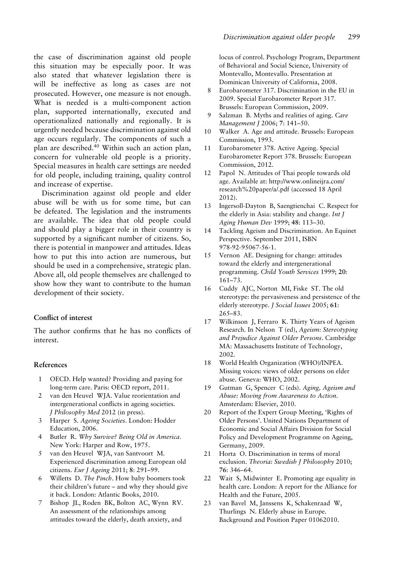the case of discrimination against old people this situation may be especially poor. It was also stated that whatever legislation there is will be ineffective as long as cases are not prosecuted. However, one measure is not enough. What is needed is a multi-component action plan, supported internationally, executed and operationalized nationally and regionally. It is urgently needed because discrimination against old age occurs regularly. The components of such a plan are described.40 Within such an action plan, concern for vulnerable old people is a priority. Special measures in health care settings are needed for old people, including training, quality control and increase of expertise.

Discrimination against old people and elder abuse will be with us for some time, but can be defeated. The legislation and the instruments are available. The idea that old people could and should play a bigger role in their country is supported by a significant number of citizens. So, there is potential in manpower and attitudes. Ideas how to put this into action are numerous, but should be used in a comprehensive, strategic plan. Above all, old people themselves are challenged to show how they want to contribute to the human development of their society.

### **Conflict of interest**

The author confirms that he has no conflicts of interest.

### **References**

- 1 OECD. Help wanted? Providing and paying for long-term care. Paris: OECD report, 2011.
- 2 van den Heuvel WJA. Value reorientation and intergenerational conflicts in ageing societies. *J Philosophy Med* 2012 (in press).
- 3 Harper S. *Ageing Societies*. London: Hodder Education, 2006.
- 4 Butler R. *Why Survive? Being Old in America*. New York: Harper and Row, 1975.
- 5 van den Heuvel WJA, van Santvoort M. Experienced discrimination among European old citizens. *Eur J Ageing* 2011; **8**: 291–99.
- 6 Willetts D. *The Pinch*. How baby boomers took their children's future – and why they should give it back. London: Atlantic Books, 2010.
- 7 Bishop JL, Roden BK, Bolton AC, Wynn RV. An assessment of the relationships among attitudes toward the elderly, death anxiety, and

locus of control. Psychology Program, Department of Behavioral and Social Science, University of Montevallo, Montevallo. Presentation at Dominican University of California, 2008.

- 8 Eurobarometer 317. Discrimination in the EU in 2009. Special Eurobarometer Report 317. Brussels: European Commission, 2009.
- 9 Salzman B. Myths and realities of aging. *Care Management J* 2006; **7**: 141–50.
- 10 Walker A. Age and attitude. Brussels: European Commission, 1993.
- 11 Eurobarometer 378. Active Ageing. Special Eurobarometer Report 378. Brussels: European Commission, 2012.
- 12 Papol N. Attitudes of Thai people towards old age. Available at: http://www.onlineijra.com/ research%20paper/a/.pdf (accessed 18 April 2012).
- 13 Ingersoll-Dayton B, Saengtienchai C. Respect for the elderly in Asia: stability and change. *Int J Aging Human Dev* 1999; **48**: 113–30.
- 14 Tackling Ageism and Discrimination. An Equinet Perspective. September 2011, ISBN 978-92-95067-56-1.
- 15 Vernon AE. Designing for change: attitudes toward the elderly and intergenerational programming. *Child Youth Services* 1999; **20**: 161–73.
- 16 Cuddy AJC, Norton MI, Fiske ST. The old stereotype: the pervasiveness and persistence of the elderly stereotype. *J Social Issues* 2005; **61**: 265–83.
- 17 Wilkinson J, Ferraro K. Thirty Years of Ageism Research. In Nelson T (ed), *Ageism: Stereotyping and Prejudice Against Older Persons*. Cambridge MA: Massachusetts Institute of Technology, 2002.
- 18 World Health Organization (WHO)/INPEA. Missing voices: views of older persons on elder abuse. Geneva: WHO, 2002.
- 19 Gutman G, Spencer C (eds). *Aging, Ageism and Abuse: Moving from Awareness to Action*. Amsterdam: Elsevier, 2010.
- 20 Report of the Expert Group Meeting, 'Rights of Older Persons'. United Nations Department of Economic and Social Affairs Division for Social Policy and Development Programme on Ageing, Germany, 2009.
- 21 Horta O. Discrimination in terms of moral exclusion. *Theoria: Swedish J Philosophy* 2010; **76**: 346–64.
- 22 Wait S, Midwinter E. Promoting age equality in health care. London: A report for the Alliance for Health and the Future, 2005.
- 23 van Bavel M, Janssens K, Schakenraad W, Thurlings N. Elderly abuse in Europe. Background and Position Paper 01062010.